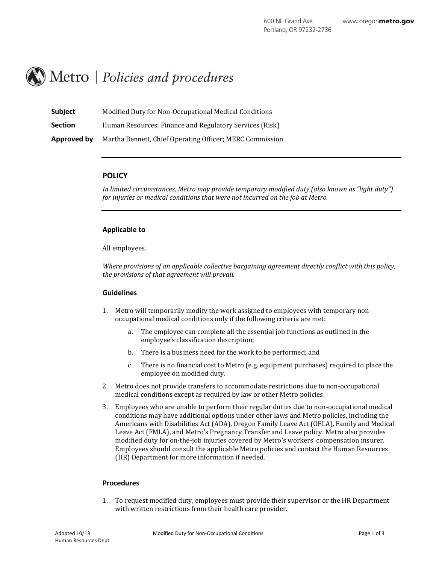# Metro | Policies and procedures

| <b>Subject</b> | Modified Duty for Non-Occupational Medical Conditions    |
|----------------|----------------------------------------------------------|
| <b>Section</b> | Human Resources; Finance and Regulatory Services (Risk)  |
| Approved by    | Martha Bennett, Chief Operating Officer; MERC Commission |

## **POLICY**

*In limited circumstances, Metro may provide temporary modified duty (also known as "light duty") for injuries or medical conditions that were not incurred on the job at Metro.*

### **Applicable to**

All employees.

*Where provisions of an applicable collective bargaining agreement directly conflict with this policy, the provisions of that agreement will prevail.*

### **Guidelines**

- 1. Metro will temporarily modify the work assigned to employees with temporary nonoccupational medical conditions only if the following criteria are met:
	- a. The employee can complete all the essential job functions as outlined in the employee's classification description;
	- b. There is a business need for the work to be performed; and
	- c. There is no financial cost to Metro (e.g. equipment purchases) required to place the employee on modified duty.
- 2. Metro does not provide transfers to accommodate restrictions due to non-occupational medical conditions except as required by law or other Metro policies.
- 3. Employees who are unable to perform their regular duties due to non-occupational medical conditions may have additional options under other laws and Metro policies, including the Americans with Disabilities Act (ADA), Oregon Family Leave Act (OFLA), Family and Medical Leave Act (FMLA), and Metro's Pregnancy Transfer and Leave policy. Metro also provides modified duty for on-the-job injuries covered by Metro's workers' compensation insurer. Employees should consult the applicable Metro policies and contact the Human Resources (HR) Department for more information if needed.

### **Procedures**

1. To request modified duty, employees must provide their supervisor or the HR Department with written restrictions from their health care provider.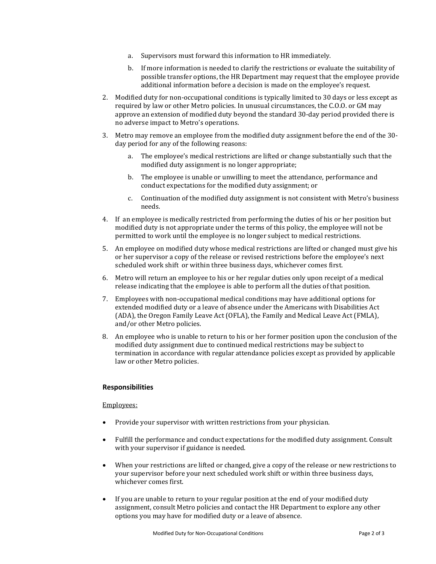- a. Supervisors must forward this information to HR immediately.
- b. If more information is needed to clarify the restrictions or evaluate the suitability of possible transfer options, the HR Department may request that the employee provide additional information before a decision is made on the employee's request.
- 2. Modified duty for non-occupational conditions is typically limited to 30 days or less except as required by law or other Metro policies. In unusual circumstances, the C.O.O. or GM may approve an extension of modified duty beyond the standard 30-day period provided there is no adverse impact to Metro's operations.
- 3. Metro may remove an employee from the modified duty assignment before the end of the 30 day period for any of the following reasons:
	- a. The employee's medical restrictions are lifted or change substantially such that the modified duty assignment is no longer appropriate;
	- b. The employee is unable or unwilling to meet the attendance, performance and conduct expectations for the modified duty assignment; or
	- c. Continuation of the modified duty assignment is not consistent with Metro's business needs.
- 4. If an employee is medically restricted from performing the duties of his or her position but modified duty is not appropriate under the terms of this policy, the employee will not be permitted to work until the employee is no longer subject to medical restrictions.
- 5. An employee on modified duty whose medical restrictions are lifted or changed must give his or her supervisor a copy of the release or revised restrictions before the employee's next scheduled work shift or within three business days, whichever comes first.
- 6. Metro will return an employee to his or her regular duties only upon receipt of a medical release indicating that the employee is able to perform all the duties of that position.
- 7. Employees with non-occupational medical conditions may have additional options for extended modified duty or a leave of absence under the Americans with Disabilities Act (ADA), the Oregon Family Leave Act (OFLA), the Family and Medical Leave Act (FMLA), and/or other Metro policies.
- 8. An employee who is unable to return to his or her former position upon the conclusion of the modified duty assignment due to continued medical restrictions may be subject to termination in accordance with regular attendance policies except as provided by applicable law or other Metro policies.

### **Responsibilities**

### Employees:

- Provide your supervisor with written restrictions from your physician.
- Fulfill the performance and conduct expectations for the modified duty assignment. Consult with your supervisor if guidance is needed.
- When your restrictions are lifted or changed, give a copy of the release or new restrictions to your supervisor before your next scheduled work shift or within three business days, whichever comes first.
- If you are unable to return to your regular position at the end of your modified duty assignment, consult Metro policies and contact the HR Department to explore any other options you may have for modified duty or a leave of absence.